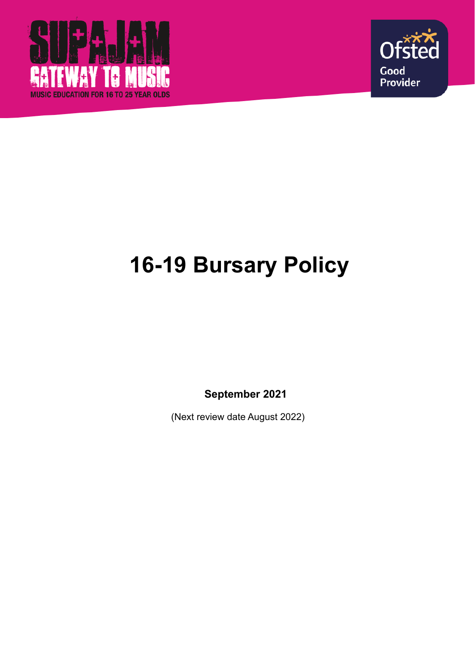



# **16-19 Bursary Policy**

**September 2021**

(Next review date August 2022)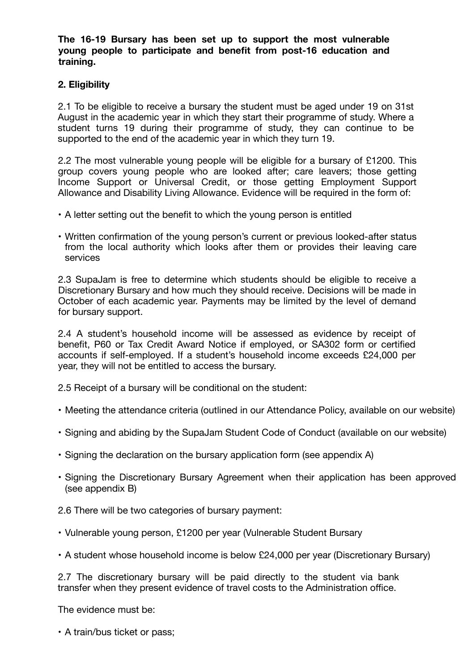**The 16-19 Bursary has been set up to support the most vulnerable young people to participate and benefit from post-16 education and training.** 

## **2. Eligibility**

2.1 To be eligible to receive a bursary the student must be aged under 19 on 31st August in the academic year in which they start their programme of study. Where a student turns 19 during their programme of study, they can continue to be supported to the end of the academic year in which they turn 19.

2.2 The most vulnerable young people will be eligible for a bursary of £1200. This group covers young people who are looked after; care leavers; those getting Income Support or Universal Credit, or those getting Employment Support Allowance and Disability Living Allowance. Evidence will be required in the form of:

- A letter setting out the benefit to which the young person is entitled
- Written confirmation of the young person's current or previous looked-after status from the local authority which looks after them or provides their leaving care services

2.3 SupaJam is free to determine which students should be eligible to receive a Discretionary Bursary and how much they should receive. Decisions will be made in October of each academic year. Payments may be limited by the level of demand for bursary support.

2.4 A student's household income will be assessed as evidence by receipt of benefit, P60 or Tax Credit Award Notice if employed, or SA302 form or certified accounts if self-employed. If a student's household income exceeds £24,000 per year, they will not be entitled to access the bursary.

2.5 Receipt of a bursary will be conditional on the student:

- Meeting the attendance criteria (outlined in our Attendance Policy, available on our website)
- Signing and abiding by the SupaJam Student Code of Conduct (available on our website)
- Signing the declaration on the bursary application form (see appendix A)
- Signing the Discretionary Bursary Agreement when their application has been approved (see appendix B)

2.6 There will be two categories of bursary payment:

- Vulnerable young person, £1200 per year (Vulnerable Student Bursary
- A student whose household income is below £24,000 per year (Discretionary Bursary)

2.7 The discretionary bursary will be paid directly to the student via bank transfer when they present evidence of travel costs to the Administration office.

The evidence must be:

• A train/bus ticket or pass;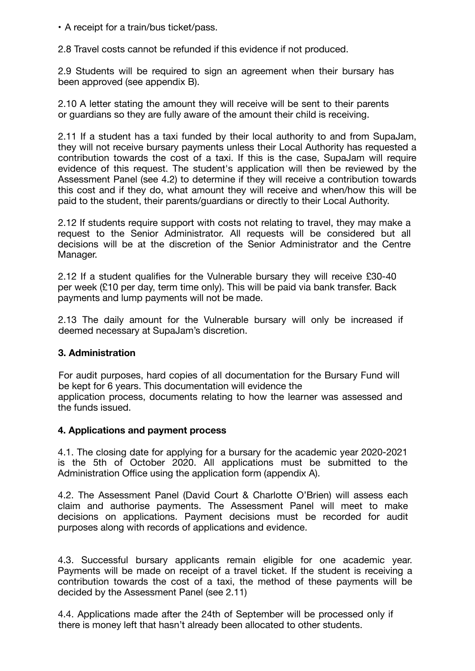• A receipt for a train/bus ticket/pass.

2.8 Travel costs cannot be refunded if this evidence if not produced.

2.9 Students will be required to sign an agreement when their bursary has been approved (see appendix B).

2.10 A letter stating the amount they will receive will be sent to their parents or guardians so they are fully aware of the amount their child is receiving.

2.11 If a student has a taxi funded by their local authority to and from SupaJam, they will not receive bursary payments unless their Local Authority has requested a contribution towards the cost of a taxi. If this is the case, SupaJam will require evidence of this request. The student's application will then be reviewed by the Assessment Panel (see 4.2) to determine if they will receive a contribution towards this cost and if they do, what amount they will receive and when/how this will be paid to the student, their parents/guardians or directly to their Local Authority.

2.12 If students require support with costs not relating to travel, they may make a request to the Senior Administrator. All requests will be considered but all decisions will be at the discretion of the Senior Administrator and the Centre Manager.

2.12 If a student qualifies for the Vulnerable bursary they will receive £30-40 per week (£10 per day, term time only). This will be paid via bank transfer. Back payments and lump payments will not be made.

2.13 The daily amount for the Vulnerable bursary will only be increased if deemed necessary at SupaJam's discretion.

## **3. Administration**

For audit purposes, hard copies of all documentation for the Bursary Fund will be kept for 6 years. This documentation will evidence the application process, documents relating to how the learner was assessed and the funds issued.

## **4. Applications and payment process**

4.1. The closing date for applying for a bursary for the academic year 2020-2021 is the 5th of October 2020. All applications must be submitted to the Administration Office using the application form (appendix A).

4.2. The Assessment Panel (David Court & Charlotte O'Brien) will assess each claim and authorise payments. The Assessment Panel will meet to make decisions on applications. Payment decisions must be recorded for audit purposes along with records of applications and evidence.

4.3. Successful bursary applicants remain eligible for one academic year. Payments will be made on receipt of a travel ticket. If the student is receiving a contribution towards the cost of a taxi, the method of these payments will be decided by the Assessment Panel (see 2.11)

4.4. Applications made after the 24th of September will be processed only if there is money left that hasn't already been allocated to other students.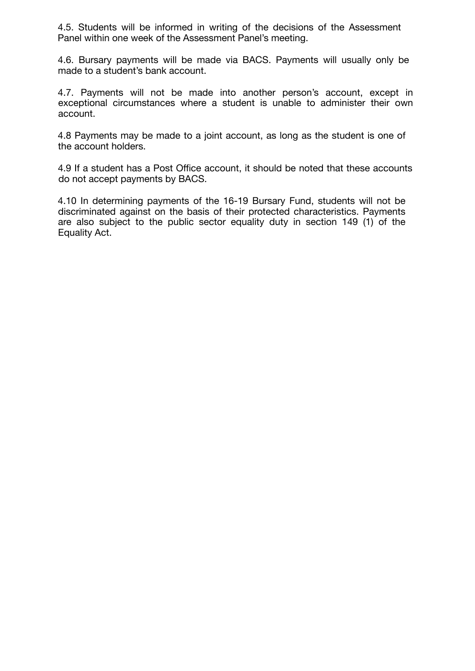4.5. Students will be informed in writing of the decisions of the Assessment Panel within one week of the Assessment Panel's meeting.

4.6. Bursary payments will be made via BACS. Payments will usually only be made to a student's bank account.

4.7. Payments will not be made into another person's account, except in exceptional circumstances where a student is unable to administer their own account.

4.8 Payments may be made to a joint account, as long as the student is one of the account holders.

4.9 If a student has a Post Office account, it should be noted that these accounts do not accept payments by BACS.

4.10 In determining payments of the 16-19 Bursary Fund, students will not be discriminated against on the basis of their protected characteristics. Payments are also subject to the public sector equality duty in section 149 (1) of the Equality Act.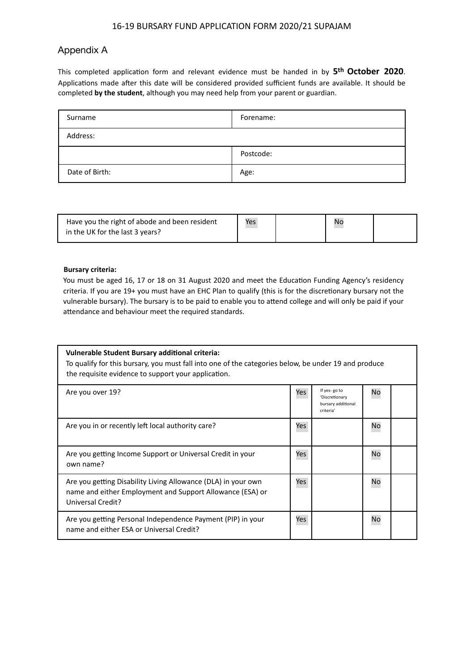## Appendix A

This completed application form and relevant evidence must be handed in by **5th October 2020**. Applications made after this date will be considered provided sufficient funds are available. It should be completed **by the student**, although you may need help from your parent or guardian.

| Surname        | Forename: |
|----------------|-----------|
| Address:       |           |
|                | Postcode: |
| Date of Birth: | Age:      |

| Have you the right of abode and been resident | Yes | <b>Nc</b> |  |
|-----------------------------------------------|-----|-----------|--|
| in the UK for the last 3 years?               |     |           |  |

#### **Bursary criteria:**

You must be aged 16, 17 or 18 on 31 August 2020 and meet the Education Funding Agency's residency criteria. If you are 19+ you must have an EHC Plan to qualify (this is for the discretionary bursary not the vulnerable bursary). The bursary is to be paid to enable you to attend college and will only be paid if your attendance and behaviour meet the required standards.

| Vulnerable Student Bursary additional criteria:<br>To qualify for this bursary, you must fall into one of the categories below, be under 19 and produce<br>the requisite evidence to support your application. |     |                                                                   |    |  |  |
|----------------------------------------------------------------------------------------------------------------------------------------------------------------------------------------------------------------|-----|-------------------------------------------------------------------|----|--|--|
| Are you over 19?                                                                                                                                                                                               | Yes | If yes-go to<br>'Discretionary<br>bursary additional<br>criteria' | No |  |  |
| Are you in or recently left local authority care?                                                                                                                                                              | Yes |                                                                   | No |  |  |
| Are you getting Income Support or Universal Credit in your<br>own name?                                                                                                                                        | Yes |                                                                   | No |  |  |
| Are you getting Disability Living Allowance (DLA) in your own<br>name and either Employment and Support Allowance (ESA) or<br>Universal Credit?                                                                | Yes |                                                                   | No |  |  |
| Are you getting Personal Independence Payment (PIP) in your<br>name and either ESA or Universal Credit?                                                                                                        | Yes |                                                                   | No |  |  |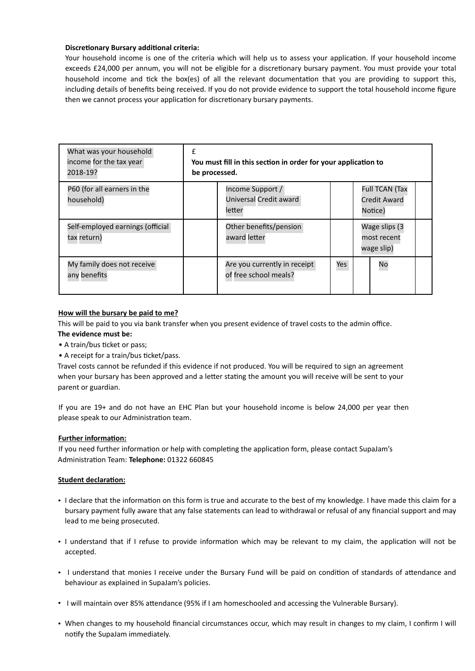#### **Discretionary Bursary additional criteria:**

Your household income is one of the criteria which will help us to assess your application. If your household income exceeds £24,000 per annum, you will not be eligible for a discretionary bursary payment. You must provide your total household income and tick the box(es) of all the relevant documentation that you are providing to support this, including details of benefits being received. If you do not provide evidence to support the total household income figure then we cannot process your application for discretionary bursary payments.

| What was your household<br>income for the tax year<br>2018-19? | You must fill in this section in order for your application to<br>be processed. |                                                       |     |                                            |                                                  |  |
|----------------------------------------------------------------|---------------------------------------------------------------------------------|-------------------------------------------------------|-----|--------------------------------------------|--------------------------------------------------|--|
| P60 (for all earners in the<br>household)                      |                                                                                 | Income Support /<br>Universal Credit award<br>letter  |     |                                            | <b>Full TCAN (Tax</b><br>Credit Award<br>Notice) |  |
| Self-employed earnings (official<br>tax return)                |                                                                                 | Other benefits/pension<br>award letter                |     | Wage slips (3<br>most recent<br>wage slip) |                                                  |  |
| My family does not receive<br>any benefits                     |                                                                                 | Are you currently in receipt<br>of free school meals? | Yes |                                            | No                                               |  |

#### **How will the bursary be paid to me?**

This will be paid to you via bank transfer when you present evidence of travel costs to the admin office. **The evidence must be:** 

- A train/bus ticket or pass;
- A receipt for a train/bus ticket/pass.

Travel costs cannot be refunded if this evidence if not produced. You will be required to sign an agreement when your bursary has been approved and a letter stating the amount you will receive will be sent to your parent or guardian.

If you are 19+ and do not have an EHC Plan but your household income is below 24,000 per year then please speak to our Administration team.

#### **Further information:**

If you need further information or help with completing the application form, please contact SupaJam's Administration Team: **Telephone:** 01322 660845

#### **Student declaration:**

- I declare that the information on this form is true and accurate to the best of my knowledge. I have made this claim for a bursary payment fully aware that any false statements can lead to withdrawal or refusal of any financial support and may lead to me being prosecuted.
- I understand that if I refuse to provide information which may be relevant to my claim, the application will not be accepted.
- I understand that monies I receive under the Bursary Fund will be paid on condition of standards of attendance and behaviour as explained in SupaJam's policies.
- I will maintain over 85% attendance (95% if I am homeschooled and accessing the Vulnerable Bursary).
- When changes to my household financial circumstances occur, which may result in changes to my claim, I confirm I will notify the SupaJam immediately.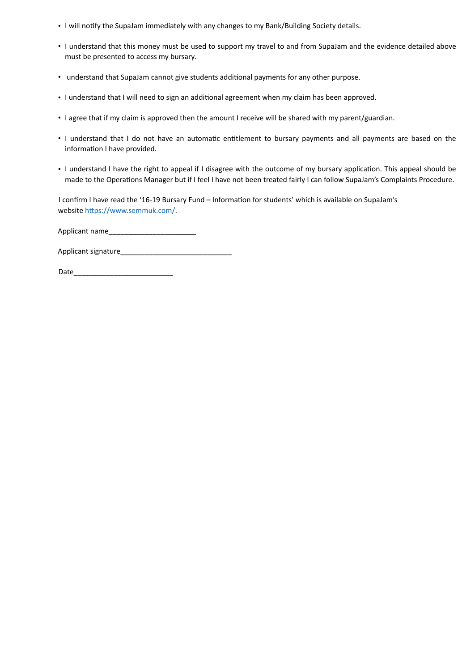- I will notify the SupaJam immediately with any changes to my Bank/Building Society details.
- I understand that this money must be used to support my travel to and from SupaJam and the evidence detailed above must be presented to access my bursary.
- understand that SupaJam cannot give students additional payments for any other purpose.
- I understand that I will need to sign an additional agreement when my claim has been approved.
- I agree that if my claim is approved then the amount I receive will be shared with my parent/guardian.
- I understand that I do not have an automatic entitlement to bursary payments and all payments are based on the information I have provided.
- I understand I have the right to appeal if I disagree with the outcome of my bursary application. This appeal should be made to the Operations Manager but if I feel I have not been treated fairly I can follow SupaJam's Complaints Procedure.

I confirm I have read the '16-19 Bursary Fund – Information for students' which is available on SupaJam's website https://www.semmuk.com/.

Applicant name\_\_\_\_

Applicant signature\_\_\_\_\_\_\_\_\_\_\_\_\_\_\_\_\_\_\_\_\_\_\_\_\_\_\_\_

Date\_\_\_\_\_\_\_\_\_\_\_\_\_\_\_\_\_\_\_\_\_\_\_\_\_